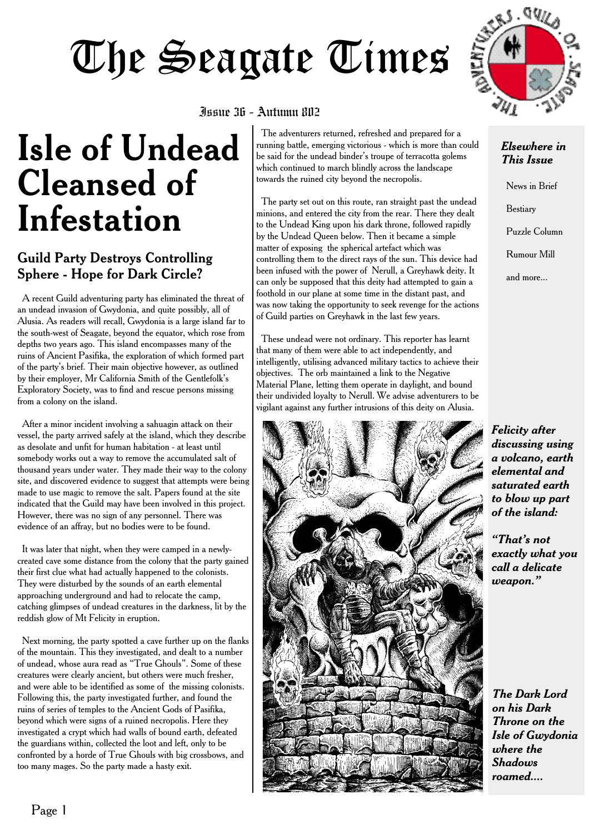# The Seagate Times



### Issue 36 - Autumn 802

## **Isle of Undead Cleansed of Infestation**

### Guild Party Destroys Controlling Sphere - Hope for Dark Circle?

A recent Guild adventuring party has eliminated the threat of an undead invasion of Gwydonia, and quite possibly, all of Alusia. As readers will recall, Gwydonia is a large island far to the south-west of Seagate, beyond the equator, which rose from depths two years ago. This island encompasses many of the ruins of Ancient Pasifika, the exploration of which formed part of the party's brief. Their main objective however, as outlined by their employer, Mr California Smith of the Gentlefolk's Exploratory Society, was to find and rescue persons missing from a colony on the island.

After a minor incident involving a sahuagin attack on their vessel, the party arrived safely at the island, which they describe as desolate and unfit for human habitation - at least until somebody works out a way to remove the accumulated salt of thousand years under water. They made their way to the colony site, and discovered evidence to suggest that attempts were being made to use magic to remove the salt. Papers found at the site indicated that the Guild may have been involved in this project. However, there was no sign of any personnel. There was evidence of an affray, but no bodies were to be found.

It was later that night, when they were camped in a newlycreated cave some distance from the colony that the party gained their first clue what had actually happened to the colonists. They were disturbed by the sounds of an earth elemental approaching underground and had to relocate the camp, catching glimpses of undead creatures in the darkness, lit by the reddish glow of Mt Felicity in eruption.

Next morning, the party spotted a cave further up on the flanks of the mountain. This they investigated, and dealt to a number of undead, whose aura read as "True Ghouls". Some of these creatures were clearly ancient, but others were much fresher, and were able to be identified as some of the missing colonists. Following this, the party investigated further, and found the ruins of series of temples to the Ancient Gods of Pasifika, beyond which were signs of a ruined necropolis. Here they investigated a crypt which had walls of bound earth, defeated the guardians within, collected the loot and left, only to be confronted by a horde of True Ghouls with big crossbows, and too many mages. So the party made a hasty exit.

The adventurers returned, refreshed and prepared for a running battle, emerging victorious - which is more than could be said for the undead binder's troupe of terracotta golems which continued to march blindly across the landscape towards the ruined city beyond the necropolis.

The party set out on this route, ran straight past the undead minions, and entered the city from the rear. There they dealt to the Undead King upon his dark throne, followed rapidly by the Undead Queen below. Then it became a simple matter of exposing the spherical artefact which was controlling them to the direct rays of the sun. This device had been infused with the power of Nerull, a Greyhawk deity. It can only be supposed that this deity had attempted to gain a foothold in our plane at some time in the distant past, and was now taking the opportunity to seek revenge for the actions of Guild parties on Greyhawk in the last few years.

These undead were not ordinary. This reporter has learnt that many of them were able to act independently, and intelligently, utilising advanced military tactics to achieve their objectives. The orb maintained a link to the Negative Material Plane, letting them operate in daylight, and bound their undivided loyalty to Nerull. We advise adventurers to be vigilant against any further intrusions of this deity on Alusia.



### *Elsewhere in This Issue*

News in Brief Bestiary Puzzle Column Rumour Mill and more...

*Felicity after discussing using a volcano, earth elemental and saturated earth to blow up part of the island:*

*"That's not exactly what you call a delicate weapon."*

*The Dark Lord on his Dark Throne on the Isle of Gwydonia where the Shadows roamed....*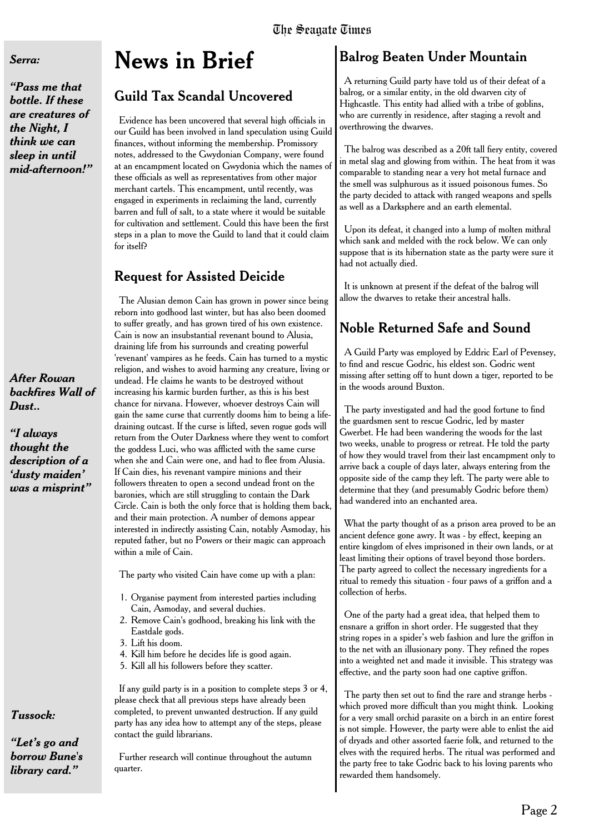#### *Serra:*

*"Pass me that bottle. If these are creatures of the Night, I think we can sleep in until mid-afternoon!"*

### *After Rowan backfires Wall of Dust..*

*"I always thought the description of a 'dusty maiden' was a misprint"*

### *Tussock:*

*"Let's go and borrow Bune's library card."*

### **News in Brief**

### Guild Tax Scandal Uncovered

Evidence has been uncovered that several high officials in our Guild has been involved in land speculation using Guild finances, without informing the membership. Promissory notes, addressed to the Gwydonian Company, were found at an encampment located on Gwydonia which the names of these officials as well as representatives from other major merchant cartels. This encampment, until recently, was engaged in experiments in reclaiming the land, currently barren and full of salt, to a state where it would be suitable for cultivation and settlement. Could this have been the first steps in a plan to move the Guild to land that it could claim for itself?

### **Request for Assisted Deicide**

The Alusian demon Cain has grown in power since being reborn into godhood last winter, but has also been doomed to suffer greatly, and has grown tired of his own existence. Cain is now an insubstantial revenant bound to Alusia, draining life from his surrounds and creating powerful 'revenant' vampires as he feeds. Cain has turned to a mystic religion, and wishes to avoid harming any creature, living or undead. He claims he wants to be destroyed without increasing his karmic burden further, as this is his best chance for nirvana. However, whoever destroys Cain will gain the same curse that currently dooms him to being a lifedraining outcast. If the curse is lifted, seven rogue gods will return from the Outer Darkness where they went to comfort the goddess Luci, who was afflicted with the same curse when she and Cain were one, and had to flee from Alusia. If Cain dies, his revenant vampire minions and their followers threaten to open a second undead front on the baronies, which are still struggling to contain the Dark Circle. Cain is both the only force that is holding them back, and their main protection. A number of demons appear interested in indirectly assisting Cain, notably Asmoday, his reputed father, but no Powers or their magic can approach within a mile of Cain.

The party who visited Cain have come up with a plan:

- 1. Organise payment from interested parties including Cain, Asmoday, and several duchies.
- 2. Remove Cain's godhood, breaking his link with the Eastdale gods.
- 3. Lift his doom.
- 4. Kill him before he decides life is good again.
- 5. Kill all his followers before they scatter.

If any guild party is in a position to complete steps 3 or 4, please check that all previous steps have already been completed, to prevent unwanted destruction. If any guild party has any idea how to attempt any of the steps, please contact the guild librarians.

Further research will continue throughout the autumn quarter.

### **Balrog Beaten Under Mountain**

A returning Guild party have told us of their defeat of a balrog, or a similar entity, in the old dwarven city of Highcastle. This entity had allied with a tribe of goblins, who are currently in residence, after staging a revolt and overthrowing the dwarves.

The balrog was described as a 20ft tall fiery entity, covered in metal slag and glowing from within. The heat from it was comparable to standing near a very hot metal furnace and the smell was sulphurous as it issued poisonous fumes. So the party decided to attack with ranged weapons and spells as well as a Darksphere and an earth elemental.

Upon its defeat, it changed into a lump of molten mithral which sank and melded with the rock below. We can only suppose that is its hibernation state as the party were sure it had not actually died.

It is unknown at present if the defeat of the balrog will allow the dwarves to retake their ancestral halls.

### Noble Returned Safe and Sound

A Guild Party was employed by Eddric Earl of Pevensey, to find and rescue Godric, his eldest son. Godric went missing after setting off to hunt down a tiger, reported to be in the woods around Buxton.

The party investigated and had the good fortune to find the guardsmen sent to rescue Godric, led by master Gwerbet. He had been wandering the woods for the last two weeks, unable to progress or retreat. He told the party of how they would travel from their last encampment only to arrive back a couple of days later, always entering from the opposite side of the camp they left. The party were able to determine that they (and presumably Godric before them) had wandered into an enchanted area.

What the party thought of as a prison area proved to be an ancient defence gone awry. It was - by effect, keeping an entire kingdom of elves imprisoned in their own lands, or at least limiting their options of travel beyond those borders. The party agreed to collect the necessary ingredients for a ritual to remedy this situation - four paws of a griffon and a collection of herbs.

One of the party had a great idea, that helped them to ensnare a griffon in short order. He suggested that they string ropes in a spider's web fashion and lure the griffon in to the net with an illusionary pony. They refined the ropes into a weighted net and made it invisible. This strategy was effective, and the party soon had one captive griffon.

The party then set out to find the rare and strange herbs which proved more difficult than you might think. Looking for a very small orchid parasite on a birch in an entire forest is not simple. However, the party were able to enlist the aid of dryads and other assorted faerie folk, and returned to the elves with the required herbs. The ritual was performed and the party free to take Godric back to his loving parents who rewarded them handsomely.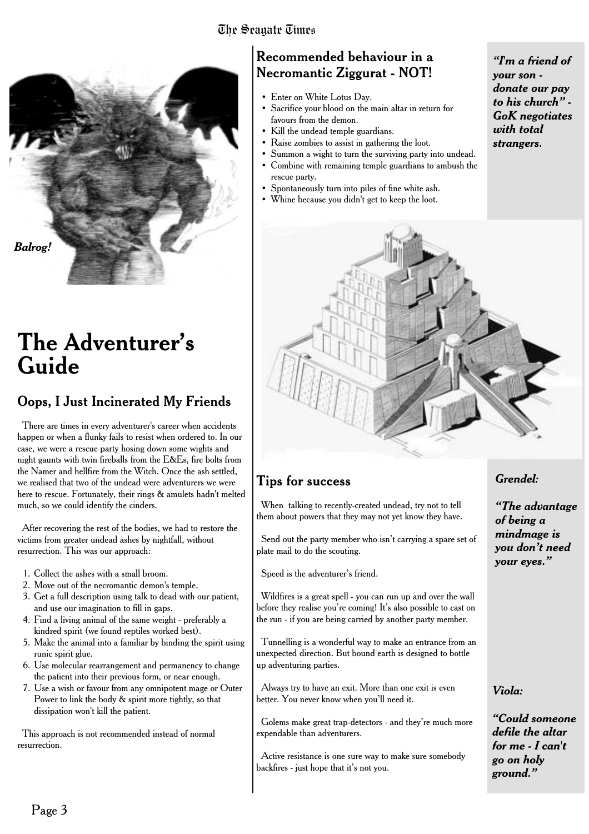### The Seagate Times



### **The Adventurer's Guide**

### **Oops, I Just Incinerated My Friends**

There are times in every adventurer's career when accidents happen or when a flunky fails to resist when ordered to. In our case, we were a rescue party hosing down some wights and night gaunts with twin fireballs from the E&Es, fire bolts from the Namer and hellfire from the Witch. Once the ash settled, we realised that two of the undead were adventurers we were here to rescue. Fortunately, their rings & amulets hadn't melted much, so we could identify the cinders.

After recovering the rest of the bodies, we had to restore the victims from greater undead ashes by nightfall, without resurrection. This was our approach:

- 1. Collect the ashes with a small broom.
- 2. Move out of the necromantic demon's temple.
- 3. Get a full description using talk to dead with our patient, and use our imagination to fill in gaps.
- 4. Find a living animal of the same weight preferably a kindred spirit (we found reptiles worked best).
- 5. Make the animal into a familiar by binding the spirit using runic spirit glue.
- 6. Use molecular rearrangement and permanency to change the patient into their previous form, or near enough.
- 7. Use a wish or favour from any omnipotent mage or Outer Power to link the body & spirit more tightly, so that dissipation won't kill the patient.

This approach is not recommended instead of normal resurrection.

### Recommended behaviour in a Necromantic Ziggurat - NOT!

- Enter on White Lotus Day.
- Sacrifice your blood on the main altar in return for favours from the demon.
- Kill the undead temple guardians.
- Raise zombies to assist in gathering the loot.
- Summon a wight to turn the surviving party into undead.
- Combine with remaining temple guardians to ambush the rescue party.
- Spontaneously turn into piles of fine white ash.
- Whine because you didn't get to keep the loot.

*"I'm a friend of your son donate our pay to his church" - GoK negotiates with total strangers.*



### Tips for success

When talking to recently-created undead, try not to tell them about powers that they may not yet know they have.

Send out the party member who isn't carrying a spare set of plate mail to do the scouting.

Speed is the adventurer's friend.

Wildfires is a great spell - you can run up and over the wall before they realise you're coming! It's also possible to cast on the run - if you are being carried by another party member.

Tunnelling is a wonderful way to make an entrance from an unexpected direction. But bound earth is designed to bottle up adventuring parties.

Always try to have an exit. More than one exit is even better. You never know when you'll need it.

Golems make great trap-detectors - and they're much more expendable than adventurers.

Active resistance is one sure way to make sure somebody backfires - just hope that it's not you.

### *Grendel:*

*"The advantage of being a mindmage is you don't need your eyes."*

### *Viola:*

*"Could someone defile the altar for me - I can't go on holy ground."*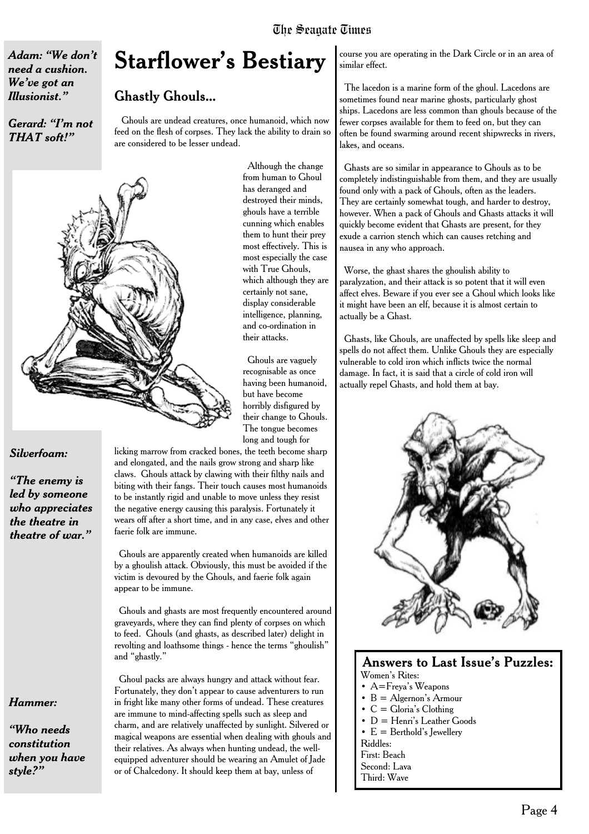### The Seagate Times

*Adam: "We don't need a cushion. We've got an Illusionist."*

#### *Gerard: "I'm not THAT soft!"*

### **Starflower's Bestiary**

### Ghastly Ghouls...

Ghouls are undead creatures, once humanoid, which now feed on the flesh of corpses. They lack the ability to drain so are considered to be lesser undead.



Although the change from human to Ghoul has deranged and destroyed their minds, ghouls have a terrible cunning which enables them to hunt their prey most effectively. This is most especially the case with True Ghouls, which although they are certainly not sane, display considerable intelligence, planning, and co-ordination in their attacks.

Ghouls are vaguely recognisable as once having been humanoid, but have become horribly disfigured by their change to Ghouls. The tongue becomes long and tough for

### *Silverfoam:*

*"The enemy is led by someone who appreciates the theatre in theatre of war."*

### *Hammer:*

*"Who needs constitution when you have style?"*

licking marrow from cracked bones, the teeth become sharp and elongated, and the nails grow strong and sharp like claws. Ghouls attack by clawing with their filthy nails and biting with their fangs. Their touch causes most humanoids to be instantly rigid and unable to move unless they resist the negative energy causing this paralysis. Fortunately it wears off after a short time, and in any case, elves and other faerie folk are immune.

Ghouls are apparently created when humanoids are killed by a ghoulish attack. Obviously, this must be avoided if the victim is devoured by the Ghouls, and faerie folk again appear to be immune.

Ghouls and ghasts are most frequently encountered around graveyards, where they can find plenty of corpses on which to feed. Ghouls (and ghasts, as described later) delight in revolting and loathsome things - hence the terms "ghoulish" and "ghastly."

Ghoul packs are always hungry and attack without fear. Fortunately, they don't appear to cause adventurers to run in fright like many other forms of undead. These creatures are immune to mind-affecting spells such as sleep and charm, and are relatively unaffected by sunlight. Silvered or magical weapons are essential when dealing with ghouls and their relatives. As always when hunting undead, the wellequipped adventurer should be wearing an Amulet of Jade or of Chalcedony. It should keep them at bay, unless of

course you are operating in the Dark Circle or in an area of similar effect.

The lacedon is a marine form of the ghoul. Lacedons are sometimes found near marine ghosts, particularly ghost ships. Lacedons are less common than ghouls because of the fewer corpses available for them to feed on, but they can often be found swarming around recent shipwrecks in rivers, lakes, and oceans.

Ghasts are so similar in appearance to Ghouls as to be completely indistinguishable from them, and they are usually found only with a pack of Ghouls, often as the leaders. They are certainly somewhat tough, and harder to destroy, however. When a pack of Ghouls and Ghasts attacks it will quickly become evident that Ghasts are present, for they exude a carrion stench which can causes retching and nausea in any who approach.

Worse, the ghast shares the ghoulish ability to paralyzation, and their attack is so potent that it will even affect elves. Beware if you ever see a Ghoul which looks like it might have been an elf, because it is almost certain to actually be a Ghast.

Ghasts, like Ghouls, are unaffected by spells like sleep and spells do not affect them. Unlike Ghouls they are especially vulnerable to cold iron which inflicts twice the normal damage. In fact, it is said that a circle of cold iron will actually repel Ghasts, and hold them at bay.



### Answers to Last Issue's Puzzles:

- Women's Rites:
- A=Freya's Weapons
- $\bullet$  B = Algernon's Armour  $\bullet$  C = Gloria's Clothing
- 
- D = Henri's Leather Goods •  $E =$  Berthold's Iewellery
- Riddles:
- First: Beach
- Second: Lava
- Third: Wave
-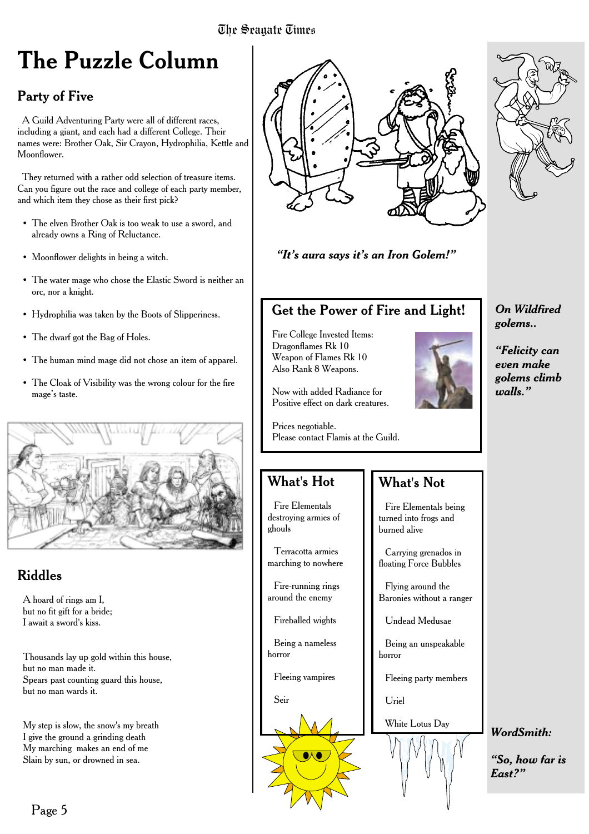### **The Puzzle Column**

### Party of Five

A Guild Adventuring Party were all of different races, including a giant, and each had a different College. Their names were: Brother Oak, Sir Crayon, Hydrophilia, Kettle and Moonflower.

They returned with a rather odd selection of treasure items. Can you figure out the race and college of each party member, and which item they chose as their first pick?

- The elven Brother Oak is too weak to use a sword, and already owns a Ring of Reluctance.
- Moonflower delights in being a witch.
- The water mage who chose the Elastic Sword is neither an orc, nor a knight.
- Hydrophilia was taken by the Boots of Slipperiness.
- The dwarf got the Bag of Holes.
- The human mind mage did not chose an item of apparel.
- The Cloak of Visibility was the wrong colour for the fire mage's taste.



### Riddles

A hoard of rings am I, but no fit gift for a bride; I await a sword's kiss.

Thousands lay up gold within this house, but no man made it. Spears past counting guard this house, but no man wards it.

My step is slow, the snow's my breath I give the ground a grinding death My marching makes an end of me Slain by sun, or drowned in sea.



### *"It's aura says it's an Iron Golem!"*

### Get the Power of Fire and Light!

Fire College Invested Items: Dragonflames Rk 10 Weapon of Flames Rk 10 Also Rank 8 Weapons.



*"Felicity can even make golems climb*

*walls."*

*On Wildfired golems..*

*WordSmith:*

*East?"*

*"So, how far is*

Now with added Radiance for Positive effect on dark creatures.

Prices negotiable. Please contact Flamis at the Guild.

### What's Hot

Fire Elementals destroying armies of ghouls

Terracotta armies marching to nowhere

Fire-running rings around the enemy

Fireballed wights

Being a nameless horror

Fleeing vampires

Seir



### What's Not

Fire Elementals being turned into frogs and burned alive

Carrying grenados in floating Force Bubbles

Flying around the Baronies without a ranger

Undead Medusae

Being an unspeakable horror

Fleeing party members

Uriel

White Lotus Day



### Page 5